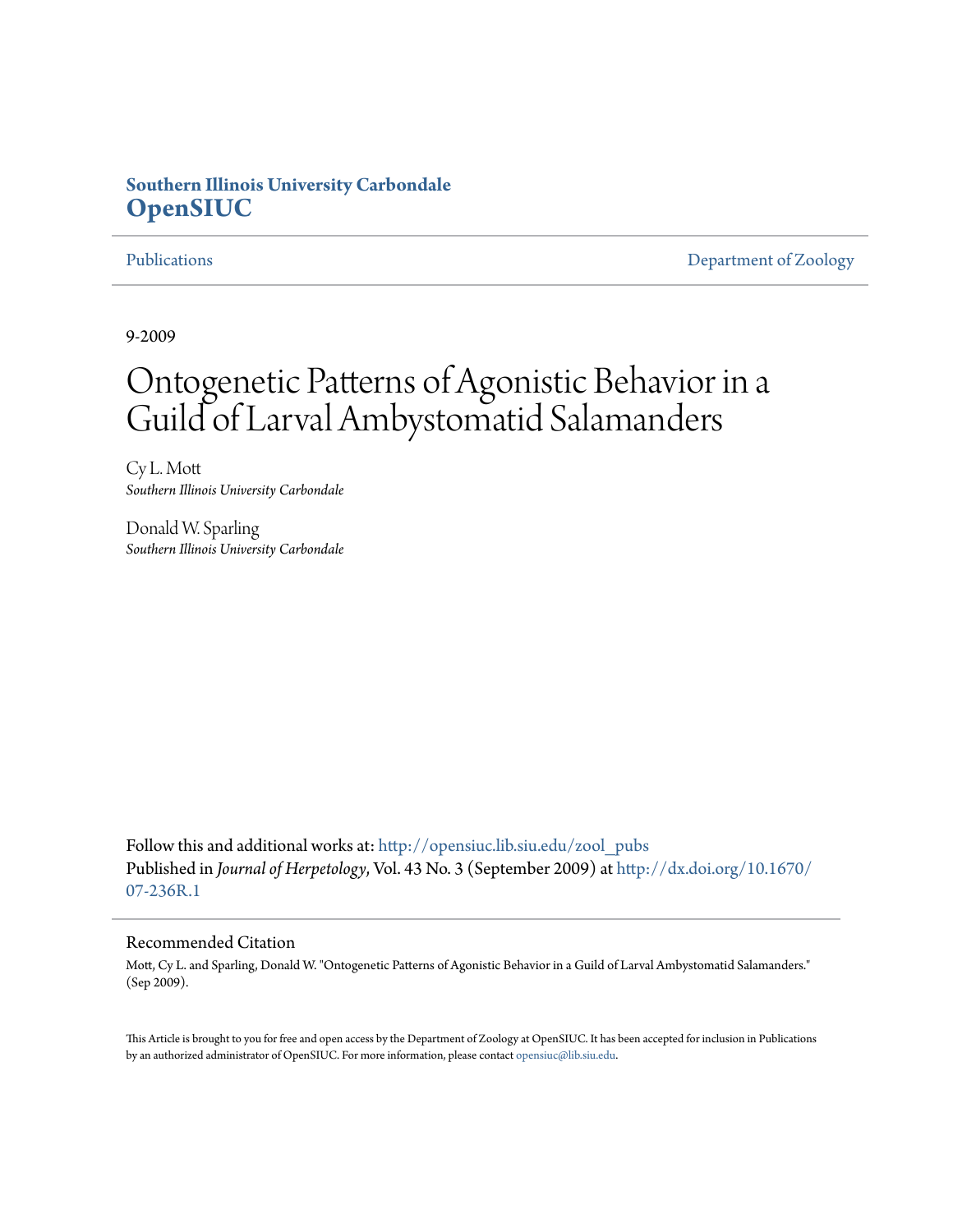# **Southern Illinois University Carbondale [OpenSIUC](http://opensiuc.lib.siu.edu?utm_source=opensiuc.lib.siu.edu%2Fzool_pubs%2F39&utm_medium=PDF&utm_campaign=PDFCoverPages)**

[Publications](http://opensiuc.lib.siu.edu/zool_pubs?utm_source=opensiuc.lib.siu.edu%2Fzool_pubs%2F39&utm_medium=PDF&utm_campaign=PDFCoverPages) **[Department of Zoology](http://opensiuc.lib.siu.edu/zool?utm_source=opensiuc.lib.siu.edu%2Fzool_pubs%2F39&utm_medium=PDF&utm_campaign=PDFCoverPages)** 

9-2009

# Ontogenetic Patterns of Agonistic Behavior in a Guild of Larval Ambystomatid Salamanders

Cy L. Mott *Southern Illinois University Carbondale*

Donald W. Sparling *Southern Illinois University Carbondale*

Follow this and additional works at: [http://opensiuc.lib.siu.edu/zool\\_pubs](http://opensiuc.lib.siu.edu/zool_pubs?utm_source=opensiuc.lib.siu.edu%2Fzool_pubs%2F39&utm_medium=PDF&utm_campaign=PDFCoverPages) Published in *Journal of Herpetology*, Vol. 43 No. 3 (September 2009) at [http://dx.doi.org/10.1670/](http://dx.doi.org/10.1670/07-236R.1) [07-236R.1](http://dx.doi.org/10.1670/07-236R.1)

## Recommended Citation

Mott, Cy L. and Sparling, Donald W. "Ontogenetic Patterns of Agonistic Behavior in a Guild of Larval Ambystomatid Salamanders." (Sep 2009).

This Article is brought to you for free and open access by the Department of Zoology at OpenSIUC. It has been accepted for inclusion in Publications by an authorized administrator of OpenSIUC. For more information, please contact [opensiuc@lib.siu.edu.](mailto:opensiuc@lib.siu.edu)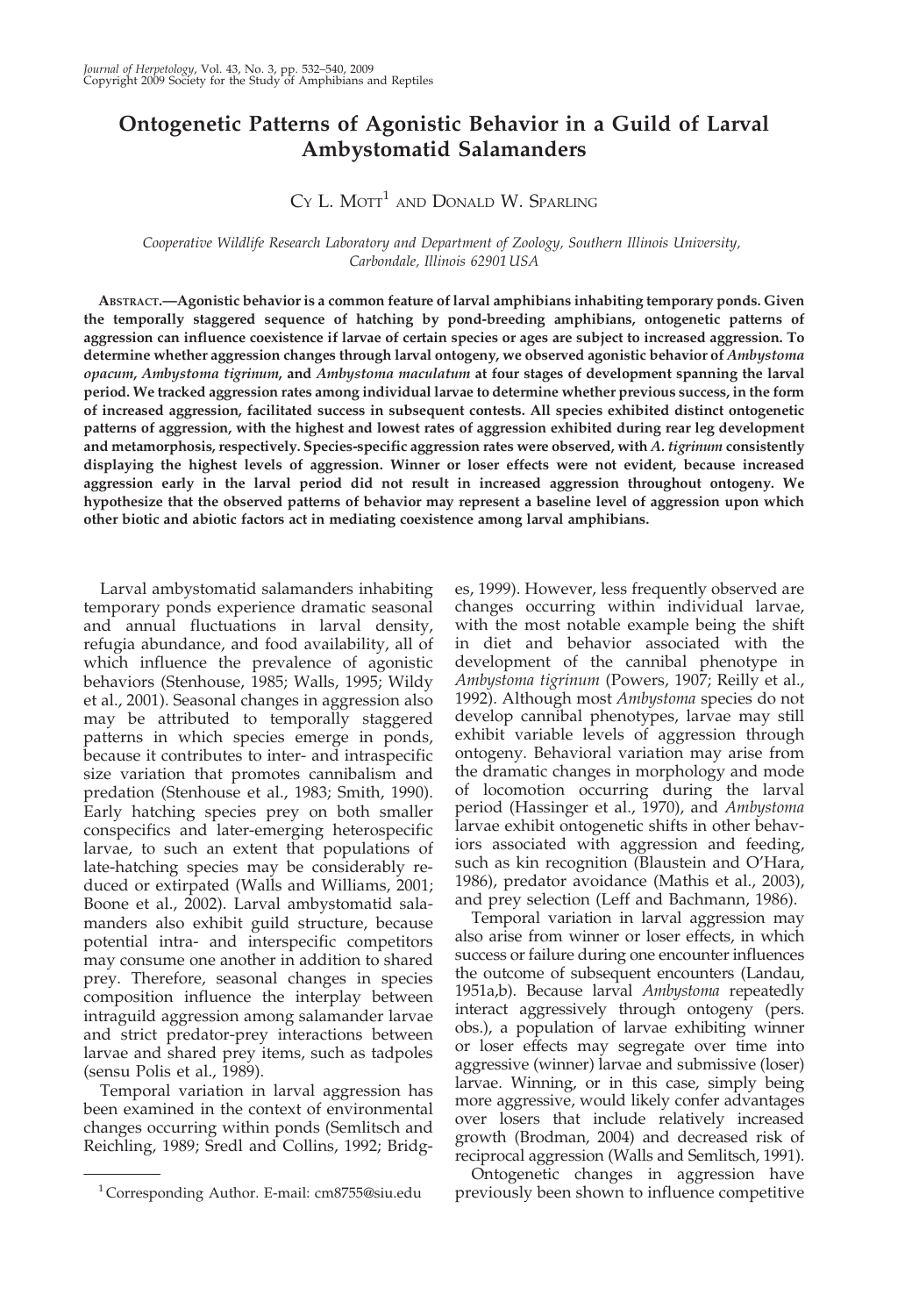# Ontogenetic Patterns of Agonistic Behavior in a Guild of Larval Ambystomatid Salamanders

### CY L. MOTT<sup>1</sup> AND DONALD W. SPARLING

#### Cooperative Wildlife Research Laboratory and Department of Zoology, Southern Illinois University, Carbondale, Illinois 62901 USA

ABSTRACT.—Agonistic behavior is a common feature of larval amphibians inhabiting temporary ponds. Given the temporally staggered sequence of hatching by pond-breeding amphibians, ontogenetic patterns of aggression can influence coexistence if larvae of certain species or ages are subject to increased aggression. To determine whether aggression changes through larval ontogeny, we observed agonistic behavior of *Ambystoma* opacum, Ambystoma tigrinum, and Ambystoma maculatum at four stages of development spanning the larval period. We tracked aggression rates among individual larvae to determine whether previous success, in the form of increased aggression, facilitated success in subsequent contests. All species exhibited distinct ontogenetic patterns of aggression, with the highest and lowest rates of aggression exhibited during rear leg development and metamorphosis, respectively. Species-specific aggression rates were observed, with A. tigrinum consistently displaying the highest levels of aggression. Winner or loser effects were not evident, because increased aggression early in the larval period did not result in increased aggression throughout ontogeny. We hypothesize that the observed patterns of behavior may represent a baseline level of aggression upon which other biotic and abiotic factors act in mediating coexistence among larval amphibians.

Larval ambystomatid salamanders inhabiting temporary ponds experience dramatic seasonal and annual fluctuations in larval density, refugia abundance, and food availability, all of which influence the prevalence of agonistic behaviors (Stenhouse, 1985; Walls, 1995; Wildy et al., 2001). Seasonal changes in aggression also may be attributed to temporally staggered patterns in which species emerge in ponds, because it contributes to inter- and intraspecific size variation that promotes cannibalism and predation (Stenhouse et al., 1983; Smith, 1990). Early hatching species prey on both smaller conspecifics and later-emerging heterospecific larvae, to such an extent that populations of late-hatching species may be considerably reduced or extirpated (Walls and Williams, 2001; Boone et al., 2002). Larval ambystomatid salamanders also exhibit guild structure, because potential intra- and interspecific competitors may consume one another in addition to shared prey. Therefore, seasonal changes in species composition influence the interplay between intraguild aggression among salamander larvae and strict predator-prey interactions between larvae and shared prey items, such as tadpoles (sensu Polis et al., 1989).

Temporal variation in larval aggression has been examined in the context of environmental changes occurring within ponds (Semlitsch and Reichling, 1989; Sredl and Collins, 1992; Bridges, 1999). However, less frequently observed are changes occurring within individual larvae, with the most notable example being the shift in diet and behavior associated with the development of the cannibal phenotype in Ambystoma tigrinum (Powers, 1907; Reilly et al., 1992). Although most Ambystoma species do not develop cannibal phenotypes, larvae may still exhibit variable levels of aggression through ontogeny. Behavioral variation may arise from the dramatic changes in morphology and mode of locomotion occurring during the larval period (Hassinger et al., 1970), and Ambystoma larvae exhibit ontogenetic shifts in other behaviors associated with aggression and feeding, such as kin recognition (Blaustein and O'Hara, 1986), predator avoidance (Mathis et al., 2003), and prey selection (Leff and Bachmann, 1986).

Temporal variation in larval aggression may also arise from winner or loser effects, in which success or failure during one encounter influences the outcome of subsequent encounters (Landau, 1951a,b). Because larval Ambystoma repeatedly interact aggressively through ontogeny (pers. obs.), a population of larvae exhibiting winner or loser effects may segregate over time into aggressive (winner) larvae and submissive (loser) larvae. Winning, or in this case, simply being more aggressive, would likely confer advantages over losers that include relatively increased growth (Brodman, 2004) and decreased risk of reciprocal aggression (Walls and Semlitsch, 1991).

Ontogenetic changes in aggression have <sup>1</sup> Corresponding Author. E-mail: cm8755@siu.edu previously been shown to influence competitive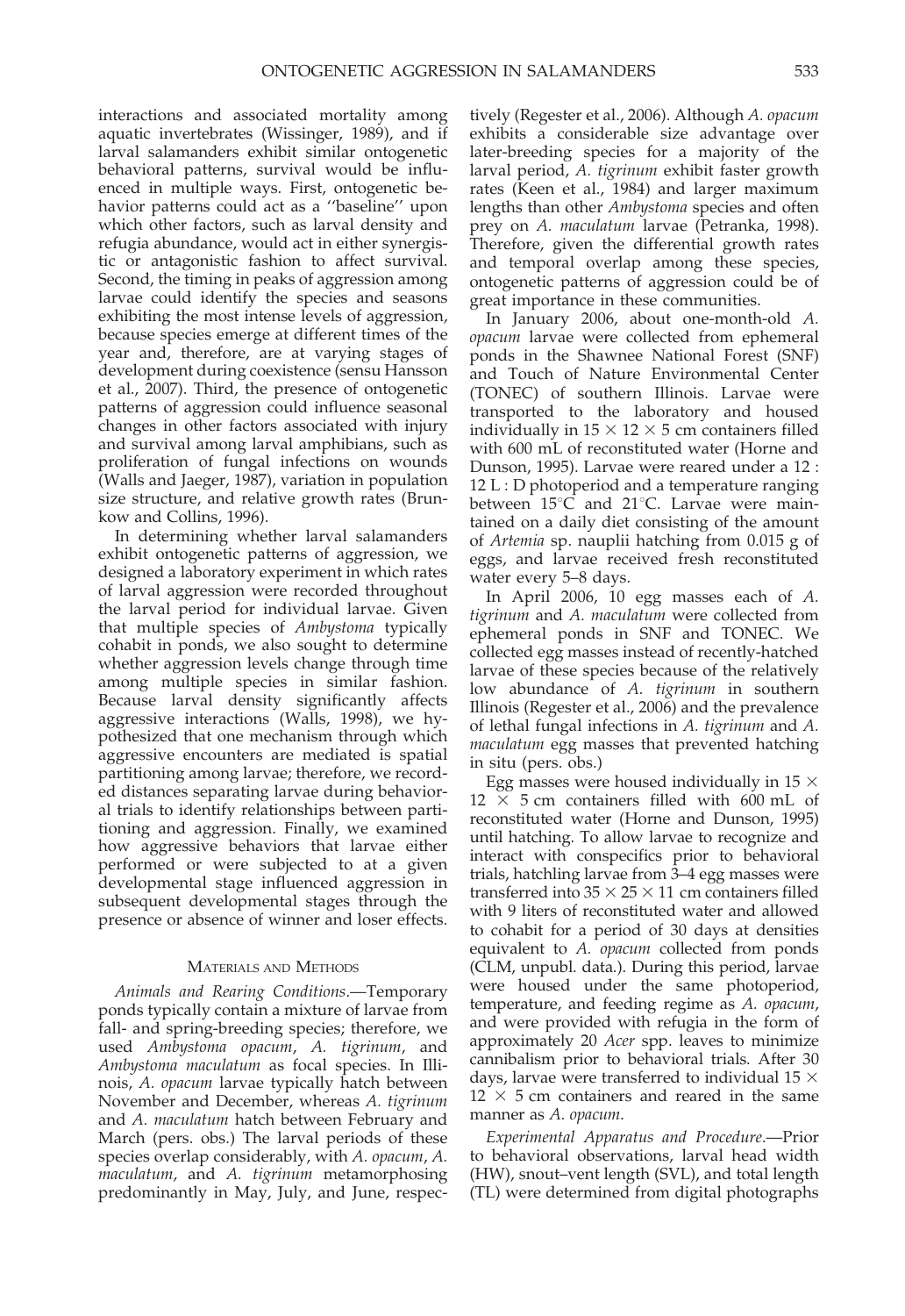interactions and associated mortality among aquatic invertebrates (Wissinger, 1989), and if larval salamanders exhibit similar ontogenetic behavioral patterns, survival would be influenced in multiple ways. First, ontogenetic behavior patterns could act as a ''baseline'' upon which other factors, such as larval density and refugia abundance, would act in either synergistic or antagonistic fashion to affect survival. Second, the timing in peaks of aggression among larvae could identify the species and seasons exhibiting the most intense levels of aggression, because species emerge at different times of the year and, therefore, are at varying stages of development during coexistence (sensu Hansson et al., 2007). Third, the presence of ontogenetic patterns of aggression could influence seasonal changes in other factors associated with injury and survival among larval amphibians, such as proliferation of fungal infections on wounds (Walls and Jaeger, 1987), variation in population size structure, and relative growth rates (Brunkow and Collins, 1996).

In determining whether larval salamanders exhibit ontogenetic patterns of aggression, we designed a laboratory experiment in which rates of larval aggression were recorded throughout the larval period for individual larvae. Given that multiple species of Ambystoma typically cohabit in ponds, we also sought to determine whether aggression levels change through time among multiple species in similar fashion. Because larval density significantly affects aggressive interactions (Walls, 1998), we hypothesized that one mechanism through which aggressive encounters are mediated is spatial partitioning among larvae; therefore, we recorded distances separating larvae during behavioral trials to identify relationships between partitioning and aggression. Finally, we examined how aggressive behaviors that larvae either performed or were subjected to at a given developmental stage influenced aggression in subsequent developmental stages through the presence or absence of winner and loser effects.

#### MATERIALS AND METHODS

Animals and Rearing Conditions.—Temporary ponds typically contain a mixture of larvae from fall- and spring-breeding species; therefore, we used Ambystoma opacum, A. tigrinum, and Ambystoma maculatum as focal species. In Illinois, A. opacum larvae typically hatch between November and December, whereas A. tigrinum and A. maculatum hatch between February and March (pers. obs.) The larval periods of these species overlap considerably, with A. opacum, A. maculatum, and A. tigrinum metamorphosing predominantly in May, July, and June, respectively (Regester et al., 2006). Although A. opacum exhibits a considerable size advantage over later-breeding species for a majority of the larval period, A. tigrinum exhibit faster growth rates (Keen et al., 1984) and larger maximum lengths than other Ambystoma species and often prey on A. maculatum larvae (Petranka, 1998). Therefore, given the differential growth rates and temporal overlap among these species, ontogenetic patterns of aggression could be of great importance in these communities.

In January 2006, about one-month-old A. opacum larvae were collected from ephemeral ponds in the Shawnee National Forest (SNF) and Touch of Nature Environmental Center (TONEC) of southern Illinois. Larvae were transported to the laboratory and housed individually in  $15 \times 12 \times 5$  cm containers filled with 600 mL of reconstituted water (Horne and Dunson, 1995). Larvae were reared under a 12 : 12 L : D photoperiod and a temperature ranging between  $15^{\circ}$ C and  $21^{\circ}$ C. Larvae were maintained on a daily diet consisting of the amount of Artemia sp. nauplii hatching from 0.015 g of eggs, and larvae received fresh reconstituted water every 5–8 days.

In April 2006, 10 egg masses each of A. tigrinum and A. maculatum were collected from ephemeral ponds in SNF and TONEC. We collected egg masses instead of recently-hatched larvae of these species because of the relatively low abundance of A. tigrinum in southern Illinois (Regester et al., 2006) and the prevalence of lethal fungal infections in A. tigrinum and A. maculatum egg masses that prevented hatching in situ (pers. obs.)

Egg masses were housed individually in  $15 \times$  $12 \times 5$  cm containers filled with 600 mL of reconstituted water (Horne and Dunson, 1995) until hatching. To allow larvae to recognize and interact with conspecifics prior to behavioral trials, hatchling larvae from 3–4 egg masses were transferred into  $35 \times 25 \times 11$  cm containers filled with 9 liters of reconstituted water and allowed to cohabit for a period of 30 days at densities equivalent to A. opacum collected from ponds (CLM, unpubl. data.). During this period, larvae were housed under the same photoperiod, temperature, and feeding regime as A. opacum, and were provided with refugia in the form of approximately 20 Acer spp. leaves to minimize cannibalism prior to behavioral trials. After 30 days, larvae were transferred to individual 15  $\times$  $12 \times 5$  cm containers and reared in the same manner as A. opacum.

Experimental Apparatus and Procedure.—Prior to behavioral observations, larval head width (HW), snout–vent length (SVL), and total length (TL) were determined from digital photographs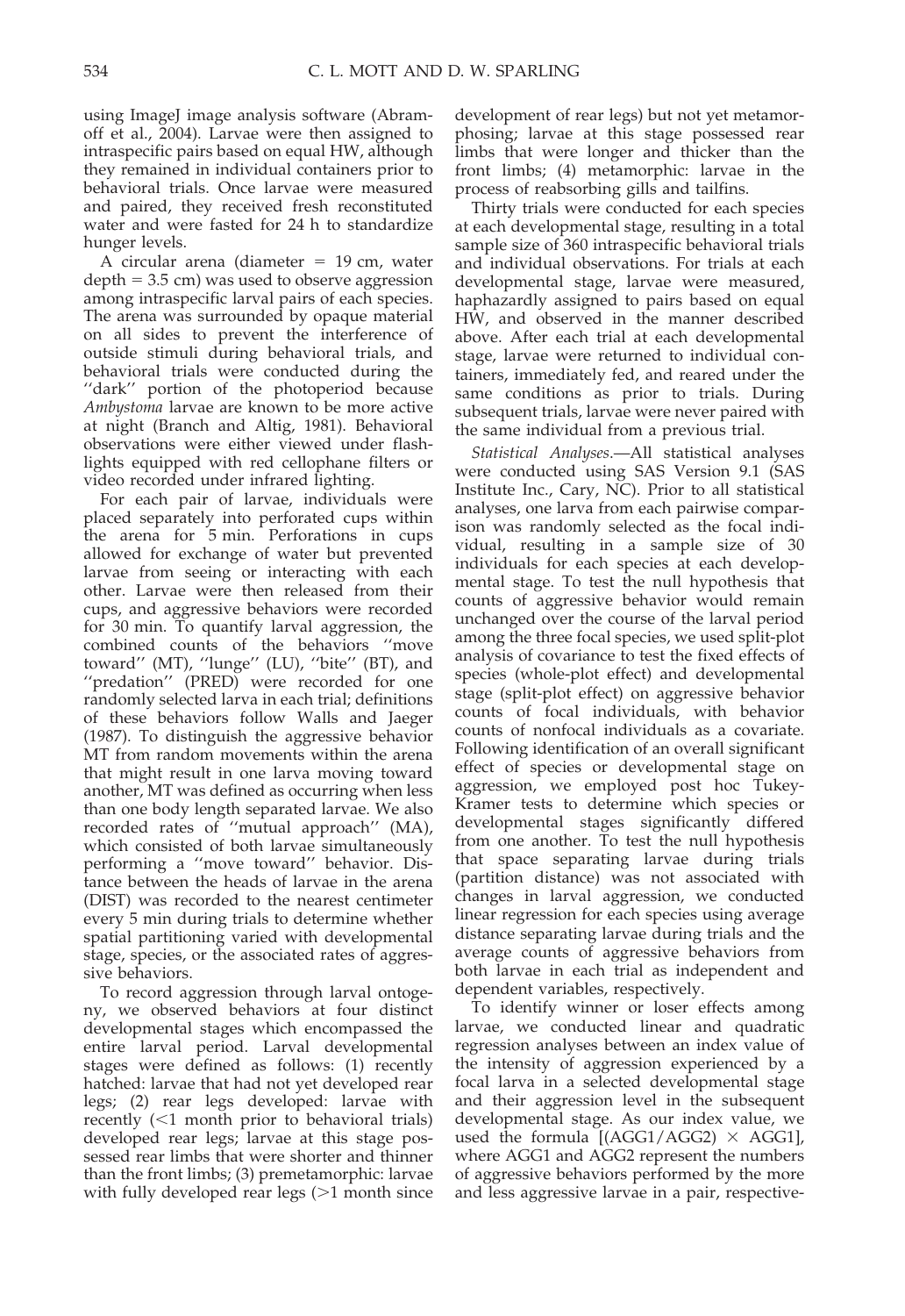using ImageJ image analysis software (Abramoff et al., 2004). Larvae were then assigned to intraspecific pairs based on equal HW, although they remained in individual containers prior to behavioral trials. Once larvae were measured and paired, they received fresh reconstituted water and were fasted for 24 h to standardize hunger levels.

A circular arena (diameter  $= 19$  cm, water  $depth = 3.5$  cm) was used to observe aggression among intraspecific larval pairs of each species. The arena was surrounded by opaque material on all sides to prevent the interference of outside stimuli during behavioral trials, and behavioral trials were conducted during the ''dark'' portion of the photoperiod because Ambystoma larvae are known to be more active at night (Branch and Altig, 1981). Behavioral observations were either viewed under flashlights equipped with red cellophane filters or video recorded under infrared lighting.

For each pair of larvae, individuals were placed separately into perforated cups within the arena for 5 min. Perforations in cups allowed for exchange of water but prevented larvae from seeing or interacting with each other. Larvae were then released from their cups, and aggressive behaviors were recorded for 30 min. To quantify larval aggression, the combined counts of the behaviors ''move toward'' (MT), ''lunge'' (LU), ''bite'' (BT), and ''predation'' (PRED) were recorded for one randomly selected larva in each trial; definitions of these behaviors follow Walls and Jaeger (1987). To distinguish the aggressive behavior MT from random movements within the arena that might result in one larva moving toward another, MT was defined as occurring when less than one body length separated larvae. We also recorded rates of ''mutual approach'' (MA), which consisted of both larvae simultaneously performing a ''move toward'' behavior. Distance between the heads of larvae in the arena (DIST) was recorded to the nearest centimeter every 5 min during trials to determine whether spatial partitioning varied with developmental stage, species, or the associated rates of aggressive behaviors.

To record aggression through larval ontogeny, we observed behaviors at four distinct developmental stages which encompassed the entire larval period. Larval developmental stages were defined as follows: (1) recently hatched: larvae that had not yet developed rear legs; (2) rear legs developed: larvae with recently  $($  <math>1 month prior to behavioral trials) developed rear legs; larvae at this stage possessed rear limbs that were shorter and thinner than the front limbs; (3) premetamorphic: larvae with fully developed rear legs  $(>1$  month since

development of rear legs) but not yet metamorphosing; larvae at this stage possessed rear limbs that were longer and thicker than the front limbs; (4) metamorphic: larvae in the process of reabsorbing gills and tailfins.

Thirty trials were conducted for each species at each developmental stage, resulting in a total sample size of 360 intraspecific behavioral trials and individual observations. For trials at each developmental stage, larvae were measured, haphazardly assigned to pairs based on equal HW, and observed in the manner described above. After each trial at each developmental stage, larvae were returned to individual containers, immediately fed, and reared under the same conditions as prior to trials. During subsequent trials, larvae were never paired with the same individual from a previous trial.

Statistical Analyses.—All statistical analyses were conducted using SAS Version 9.1 (SAS Institute Inc., Cary, NC). Prior to all statistical analyses, one larva from each pairwise comparison was randomly selected as the focal individual, resulting in a sample size of 30 individuals for each species at each developmental stage. To test the null hypothesis that counts of aggressive behavior would remain unchanged over the course of the larval period among the three focal species, we used split-plot analysis of covariance to test the fixed effects of species (whole-plot effect) and developmental stage (split-plot effect) on aggressive behavior counts of focal individuals, with behavior counts of nonfocal individuals as a covariate. Following identification of an overall significant effect of species or developmental stage on aggression, we employed post hoc Tukey-Kramer tests to determine which species or developmental stages significantly differed from one another. To test the null hypothesis that space separating larvae during trials (partition distance) was not associated with changes in larval aggression, we conducted linear regression for each species using average distance separating larvae during trials and the average counts of aggressive behaviors from both larvae in each trial as independent and dependent variables, respectively.

To identify winner or loser effects among larvae, we conducted linear and quadratic regression analyses between an index value of the intensity of aggression experienced by a focal larva in a selected developmental stage and their aggression level in the subsequent developmental stage. As our index value, we used the formula [(AGG1/AGG2)  $\times$  AGG1], where AGG1 and AGG2 represent the numbers of aggressive behaviors performed by the more and less aggressive larvae in a pair, respective-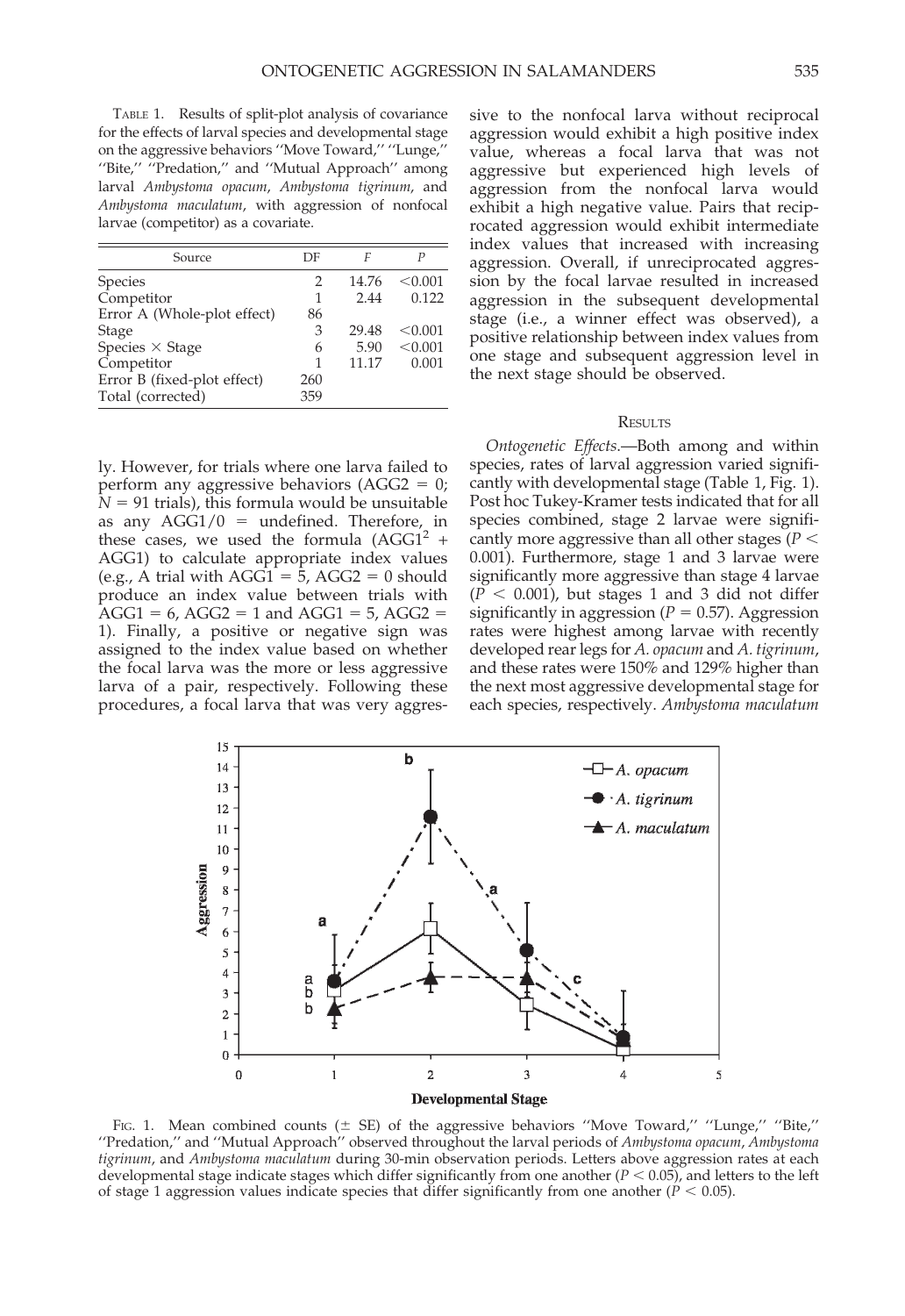TABLE 1. Results of split-plot analysis of covariance for the effects of larval species and developmental stage on the aggressive behaviors ''Move Toward,'' ''Lunge,'' "Bite," "Predation," and "Mutual Approach" among larval Ambystoma opacum, Ambystoma tigrinum, and Ambystoma maculatum, with aggression of nonfocal larvae (competitor) as a covariate.

| Source                      | DF  | Г     | р       |
|-----------------------------|-----|-------|---------|
| <b>Species</b>              | 2   | 14.76 | < 0.001 |
| Competitor                  |     | 2.44  | 0.122   |
| Error A (Whole-plot effect) | 86  |       |         |
| Stage                       | 3   | 29.48 | < 0.001 |
| Species $\times$ Stage      | 6   | 5.90  | < 0.001 |
| Competitor                  | 1   | 11.17 | 0.001   |
| Error B (fixed-plot effect) | 260 |       |         |
| Total (corrected)           | 359 |       |         |

sive to the nonfocal larva without reciprocal aggression would exhibit a high positive index value, whereas a focal larva that was not aggressive but experienced high levels of aggression from the nonfocal larva would exhibit a high negative value. Pairs that reciprocated aggression would exhibit intermediate index values that increased with increasing aggression. Overall, if unreciprocated aggression by the focal larvae resulted in increased aggression in the subsequent developmental stage (i.e., a winner effect was observed), a positive relationship between index values from one stage and subsequent aggression level in the next stage should be observed.

#### **RESULTS**

ly. However, for trials where one larva failed to perform any aggressive behaviors ( $AGG2 = 0$ ;  $N = 91$  trials), this formula would be unsuitable as any  $AGG1/0$  = undefined. Therefore, in these cases, we used the formula  $(AGG1<sup>2</sup> +$ AGG1) to calculate appropriate index values (e.g., A trial with  $AGG1 = 5$ ,  $AGG2 = 0$  should produce an index value between trials with  $AGG1 = 6$ ,  $AGG2 = 1$  and  $AGG1 = 5$ ,  $AGG2 = 5$ 1). Finally, a positive or negative sign was assigned to the index value based on whether the focal larva was the more or less aggressive larva of a pair, respectively. Following these procedures, a focal larva that was very aggres-

Ontogenetic Effects.—Both among and within species, rates of larval aggression varied significantly with developmental stage (Table 1, Fig. 1). Post hoc Tukey-Kramer tests indicated that for all species combined, stage 2 larvae were significantly more aggressive than all other stages ( $P <$ 0.001). Furthermore, stage 1 and 3 larvae were significantly more aggressive than stage 4 larvae  $(P < 0.001)$ , but stages 1 and 3 did not differ significantly in aggression ( $P = 0.57$ ). Aggression rates were highest among larvae with recently developed rear legs for A. opacum and A. tigrinum, and these rates were 150% and 129% higher than the next most aggressive developmental stage for each species, respectively. Ambystoma maculatum



FIG. 1. Mean combined counts  $(±$  SE) of the aggressive behaviors "Move Toward," "Lunge," "Bite," ''Predation,'' and ''Mutual Approach'' observed throughout the larval periods of Ambystoma opacum, Ambystoma tigrinum, and Ambystoma maculatum during 30-min observation periods. Letters above aggression rates at each developmental stage indicate stages which differ significantly from one another  $(P < 0.05)$ , and letters to the left of stage 1 aggression values indicate species that differ significantly from one another ( $P < 0.05$ ).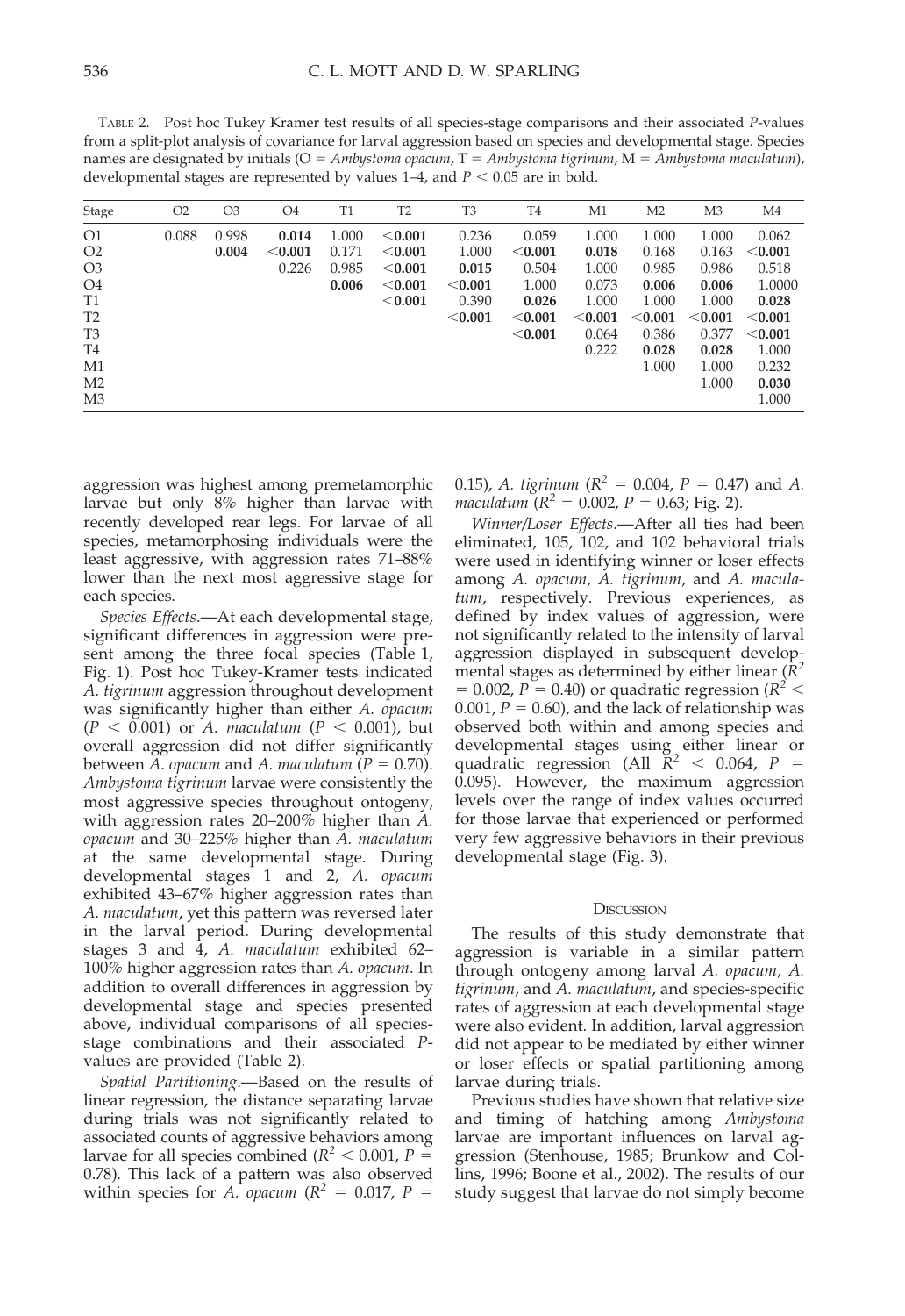TABLE 2. Post hoc Tukey Kramer test results of all species-stage comparisons and their associated P-values from a split-plot analysis of covariance for larval aggression based on species and developmental stage. Species names are designated by initials ( $O = Ambystoma opacum$ ,  $T = Ambystoma tigrinum$ ,  $M = Ambystoma maculatum$ ), developmental stages are represented by values  $1-4$ , and  $P < 0.05$  are in bold.

| Stage          | O <sub>2</sub> | O <sub>3</sub> | O <sub>4</sub> | T1    | T2      | T3        | T4      | M1      | M <sub>2</sub> | M3      | M4      |
|----------------|----------------|----------------|----------------|-------|---------|-----------|---------|---------|----------------|---------|---------|
| O <sub>1</sub> | 0.088          | 0.998          | 0.014          | 1.000 | < 0.001 | 0.236     | 0.059   | 1.000   | 1.000          | 1.000   | 0.062   |
| O <sub>2</sub> |                | 0.004          | < 0.001        | 0.171 | < 0.001 | 1.000     | < 0.001 | 0.018   | 0.168          | 0.163   | < 0.001 |
| O <sub>3</sub> |                |                | 0.226          | 0.985 | < 0.001 | 0.015     | 0.504   | 1.000   | 0.985          | 0.986   | 0.518   |
| O <sub>4</sub> |                |                |                | 0.006 | < 0.001 | $<$ 0.001 | 1.000   | 0.073   | 0.006          | 0.006   | 1.0000  |
| T1             |                |                |                |       | < 0.001 | 0.390     | 0.026   | 1.000   | 1.000          | 1.000   | 0.028   |
| T <sub>2</sub> |                |                |                |       |         | < 0.001   | < 0.001 | < 0.001 | < 0.001        | < 0.001 | < 0.001 |
| T <sub>3</sub> |                |                |                |       |         |           | < 0.001 | 0.064   | 0.386          | 0.377   | < 0.001 |
| T4             |                |                |                |       |         |           |         | 0.222   | 0.028          | 0.028   | 1.000   |
| M1             |                |                |                |       |         |           |         |         | 1.000          | 1.000   | 0.232   |
| M <sub>2</sub> |                |                |                |       |         |           |         |         |                | 1.000   | 0.030   |
| M <sub>3</sub> |                |                |                |       |         |           |         |         |                |         | 1.000   |

aggression was highest among premetamorphic larvae but only 8% higher than larvae with recently developed rear legs. For larvae of all species, metamorphosing individuals were the least aggressive, with aggression rates 71–88% lower than the next most aggressive stage for each species.

Species Effects.—At each developmental stage, significant differences in aggression were present among the three focal species (Table 1, Fig. 1). Post hoc Tukey-Kramer tests indicated A. tigrinum aggression throughout development was significantly higher than either A. opacum  $(P < 0.001)$  or A. maculatum  $(P < 0.001)$ , but overall aggression did not differ significantly between A. opacum and A. maculatum ( $P = 0.70$ ). Ambystoma tigrinum larvae were consistently the most aggressive species throughout ontogeny, with aggression rates 20–200% higher than A. opacum and 30–225% higher than A. maculatum at the same developmental stage. During developmental stages 1 and 2, A. opacum exhibited 43–67% higher aggression rates than A. maculatum, yet this pattern was reversed later in the larval period. During developmental stages 3 and 4, A. maculatum exhibited 62– 100% higher aggression rates than A. opacum. In addition to overall differences in aggression by developmental stage and species presented above, individual comparisons of all speciesstage combinations and their associated Pvalues are provided (Table 2).

Spatial Partitioning.—Based on the results of linear regression, the distance separating larvae during trials was not significantly related to associated counts of aggressive behaviors among larvae for all species combined ( $R^2 < 0.001$ ,  $P =$ 0.78). This lack of a pattern was also observed within species for A. opacum ( $R^2 = 0.017$ ,  $P =$  0.15), A. tigrinum ( $R^2 = 0.004$ ,  $P = 0.47$ ) and A. maculatum ( $R^2 = 0.002$ ,  $P = 0.63$ ; Fig. 2).

Winner/Loser Effects.-After all ties had been eliminated, 105, 102, and 102 behavioral trials were used in identifying winner or loser effects among A. opacum, A. tigrinum, and A. maculatum, respectively. Previous experiences, as defined by index values of aggression, were not significantly related to the intensity of larval aggression displayed in subsequent developmental stages as determined by either linear  $(\bar{R}^2)$  $= 0.002$ ,  $P = 0.40$ ) or quadratic regression ( $R^2$  < 0.001,  $P = 0.60$ ), and the lack of relationship was observed both within and among species and developmental stages using either linear or<br>quadratic regression (All  $R^2 < 0.064$ ,  $P =$ 0.095). However, the maximum aggression levels over the range of index values occurred for those larvae that experienced or performed very few aggressive behaviors in their previous developmental stage (Fig. 3).

#### **DISCUSSION**

The results of this study demonstrate that aggression is variable in a similar pattern through ontogeny among larval A. opacum, A. tigrinum, and A. maculatum, and species-specific rates of aggression at each developmental stage were also evident. In addition, larval aggression did not appear to be mediated by either winner or loser effects or spatial partitioning among larvae during trials.

Previous studies have shown that relative size and timing of hatching among Ambystoma larvae are important influences on larval aggression (Stenhouse, 1985; Brunkow and Collins, 1996; Boone et al., 2002). The results of our study suggest that larvae do not simply become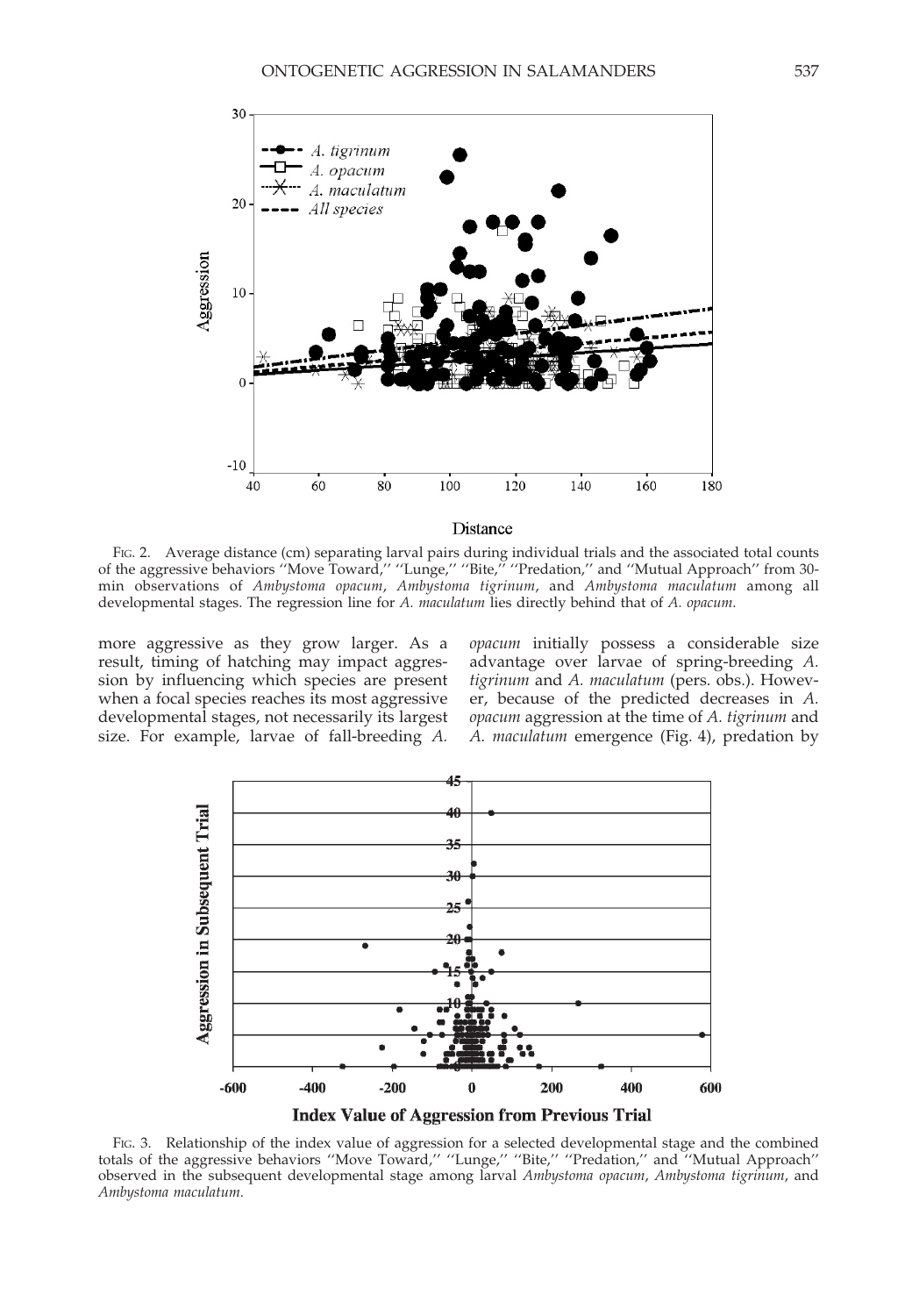

#### Distance

FIG. 2. Average distance (cm) separating larval pairs during individual trials and the associated total counts of the aggressive behaviors ''Move Toward,'' ''Lunge,'' ''Bite,'' ''Predation,'' and ''Mutual Approach'' from 30 min observations of Ambystoma opacum, Ambystoma tigrinum, and Ambystoma maculatum among all developmental stages. The regression line for A. maculatum lies directly behind that of A. opacum.

more aggressive as they grow larger. As a result, timing of hatching may impact aggression by influencing which species are present when a focal species reaches its most aggressive developmental stages, not necessarily its largest size. For example, larvae of fall-breeding A.

opacum initially possess a considerable size advantage over larvae of spring-breeding A. tigrinum and A. maculatum (pers. obs.). However, because of the predicted decreases in A. opacum aggression at the time of A. tigrinum and A. maculatum emergence (Fig. 4), predation by



FIG. 3. Relationship of the index value of aggression for a selected developmental stage and the combined totals of the aggressive behaviors ''Move Toward,'' ''Lunge,'' ''Bite,'' ''Predation,'' and ''Mutual Approach'' observed in the subsequent developmental stage among larval Ambystoma opacum, Ambystoma tigrinum, and Ambystoma maculatum.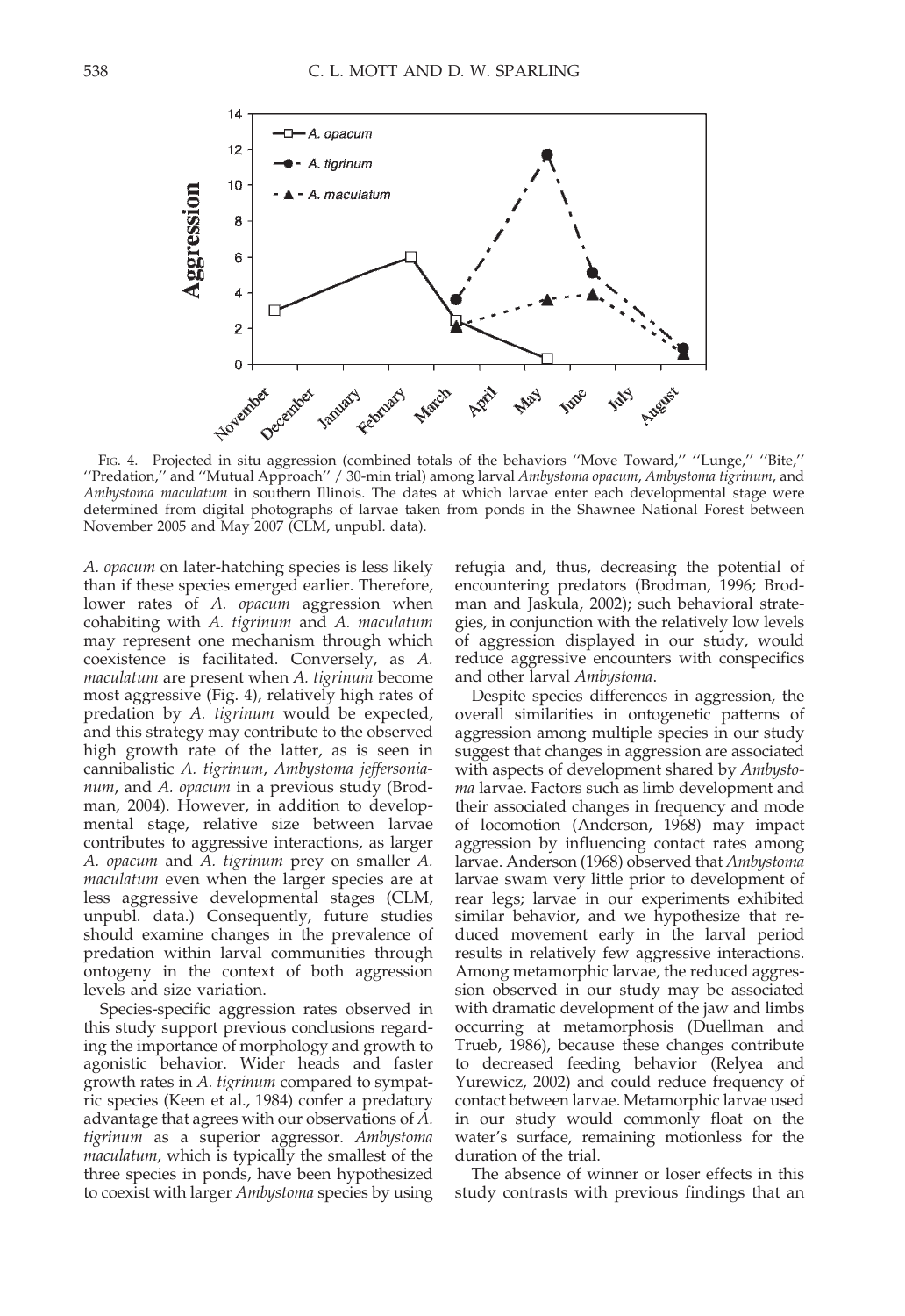

FIG. 4. Projected in situ aggression (combined totals of the behaviors "Move Toward," "Lunge," "Bite," ''Predation,'' and ''Mutual Approach'' / 30-min trial) among larval Ambystoma opacum, Ambystoma tigrinum, and Ambystoma maculatum in southern Illinois. The dates at which larvae enter each developmental stage were determined from digital photographs of larvae taken from ponds in the Shawnee National Forest between November 2005 and May 2007 (CLM, unpubl. data).

A. opacum on later-hatching species is less likely than if these species emerged earlier. Therefore, lower rates of A. opacum aggression when cohabiting with A. tigrinum and A. maculatum may represent one mechanism through which coexistence is facilitated. Conversely, as A. maculatum are present when A. tigrinum become most aggressive (Fig. 4), relatively high rates of predation by A. tigrinum would be expected, and this strategy may contribute to the observed high growth rate of the latter, as is seen in cannibalistic A. tigrinum, Ambystoma jeffersonianum, and A. opacum in a previous study (Brodman, 2004). However, in addition to developmental stage, relative size between larvae contributes to aggressive interactions, as larger A. opacum and A. tigrinum prey on smaller A. maculatum even when the larger species are at less aggressive developmental stages (CLM, unpubl. data.) Consequently, future studies should examine changes in the prevalence of predation within larval communities through ontogeny in the context of both aggression levels and size variation.

Species-specific aggression rates observed in this study support previous conclusions regarding the importance of morphology and growth to agonistic behavior. Wider heads and faster growth rates in A. tigrinum compared to sympatric species (Keen et al., 1984) confer a predatory advantage that agrees with our observations of A. tigrinum as a superior aggressor. Ambystoma maculatum, which is typically the smallest of the three species in ponds, have been hypothesized to coexist with larger Ambystoma species by using

refugia and, thus, decreasing the potential of encountering predators (Brodman, 1996; Brodman and Jaskula, 2002); such behavioral strategies, in conjunction with the relatively low levels of aggression displayed in our study, would reduce aggressive encounters with conspecifics and other larval Ambystoma.

Despite species differences in aggression, the overall similarities in ontogenetic patterns of aggression among multiple species in our study suggest that changes in aggression are associated with aspects of development shared by Ambystoma larvae. Factors such as limb development and their associated changes in frequency and mode of locomotion (Anderson, 1968) may impact aggression by influencing contact rates among larvae. Anderson (1968) observed that Ambystoma larvae swam very little prior to development of rear legs; larvae in our experiments exhibited similar behavior, and we hypothesize that reduced movement early in the larval period results in relatively few aggressive interactions. Among metamorphic larvae, the reduced aggression observed in our study may be associated with dramatic development of the jaw and limbs occurring at metamorphosis (Duellman and Trueb, 1986), because these changes contribute to decreased feeding behavior (Relyea and Yurewicz, 2002) and could reduce frequency of contact between larvae. Metamorphic larvae used in our study would commonly float on the water's surface, remaining motionless for the duration of the trial.

The absence of winner or loser effects in this study contrasts with previous findings that an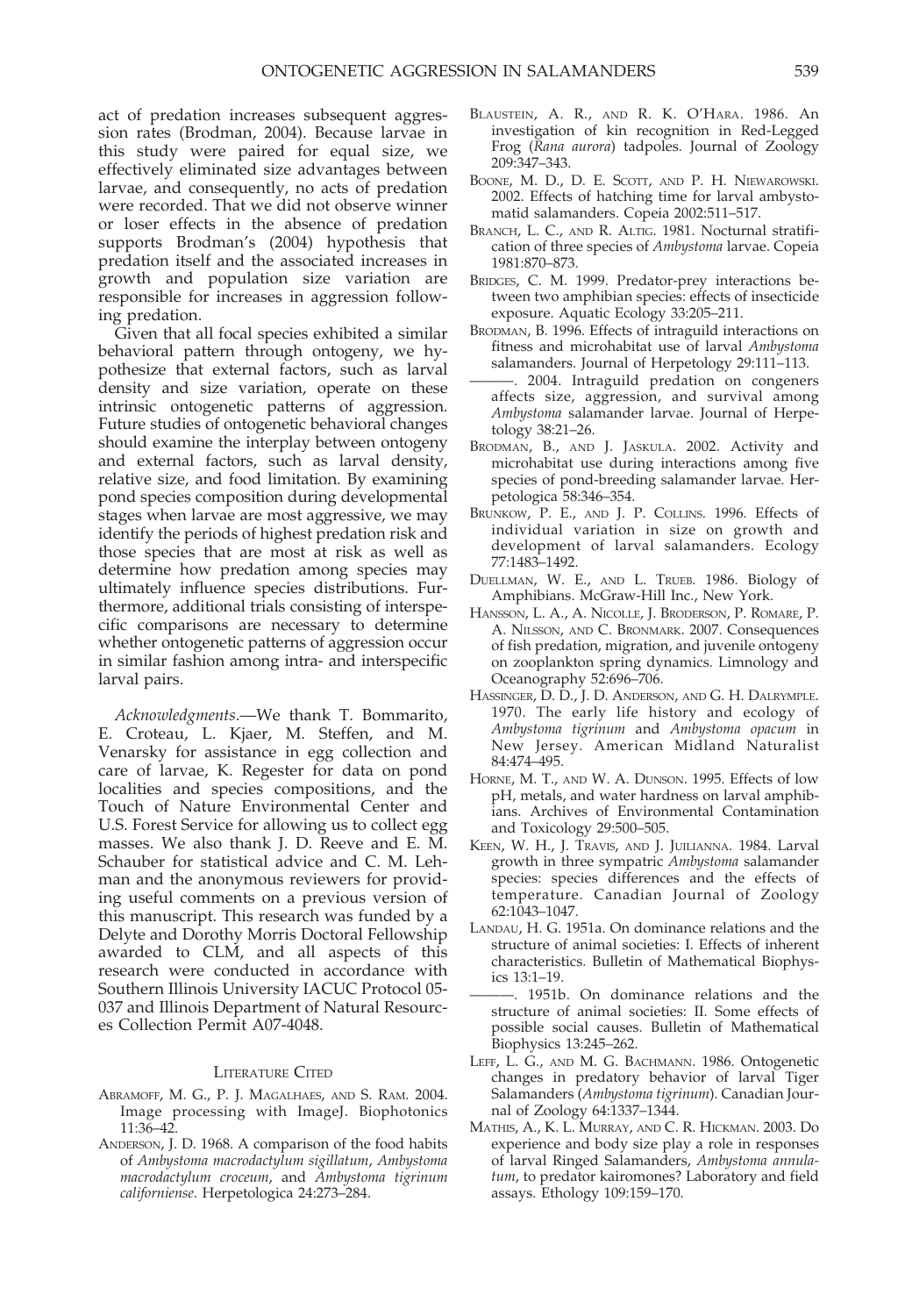act of predation increases subsequent aggression rates (Brodman, 2004). Because larvae in this study were paired for equal size, we effectively eliminated size advantages between larvae, and consequently, no acts of predation were recorded. That we did not observe winner or loser effects in the absence of predation supports Brodman's (2004) hypothesis that predation itself and the associated increases in growth and population size variation are responsible for increases in aggression following predation.

Given that all focal species exhibited a similar behavioral pattern through ontogeny, we hypothesize that external factors, such as larval density and size variation, operate on these intrinsic ontogenetic patterns of aggression. Future studies of ontogenetic behavioral changes should examine the interplay between ontogeny and external factors, such as larval density, relative size, and food limitation. By examining pond species composition during developmental stages when larvae are most aggressive, we may identify the periods of highest predation risk and those species that are most at risk as well as determine how predation among species may ultimately influence species distributions. Furthermore, additional trials consisting of interspecific comparisons are necessary to determine whether ontogenetic patterns of aggression occur in similar fashion among intra- and interspecific larval pairs.

Acknowledgments.—We thank T. Bommarito, E. Croteau, L. Kjaer, M. Steffen, and M. Venarsky for assistance in egg collection and care of larvae, K. Regester for data on pond localities and species compositions, and the Touch of Nature Environmental Center and U.S. Forest Service for allowing us to collect egg masses. We also thank J. D. Reeve and E. M. Schauber for statistical advice and C. M. Lehman and the anonymous reviewers for providing useful comments on a previous version of this manuscript. This research was funded by a Delyte and Dorothy Morris Doctoral Fellowship awarded to CLM, and all aspects of this research were conducted in accordance with Southern Illinois University IACUC Protocol 05- 037 and Illinois Department of Natural Resources Collection Permit A07-4048.

#### LITERATURE CITED

- ABRAMOFF, M. G., P. J. MAGALHAES, AND S. RAM. 2004. Image processing with ImageJ. Biophotonics 11:36–42.
- ANDERSON, J. D. 1968. A comparison of the food habits of Ambystoma macrodactylum sigillatum, Ambystoma macrodactylum croceum, and Ambystoma tigrinum californiense. Herpetologica 24:273–284.
- BLAUSTEIN, A. R., AND R. K. O'HARA. 1986. An investigation of kin recognition in Red-Legged Frog (Rana aurora) tadpoles. Journal of Zoology 209:347–343.
- BOONE, M. D., D. E. SCOTT, AND P. H. NIEWAROWSKI. 2002. Effects of hatching time for larval ambystomatid salamanders. Copeia 2002:511–517.
- BRANCH, L. C., AND R. ALTIG. 1981. Nocturnal stratification of three species of Ambystoma larvae. Copeia 1981:870–873.
- BRIDGES, C. M. 1999. Predator-prey interactions between two amphibian species: effects of insecticide exposure. Aquatic Ecology 33:205–211.
- BRODMAN, B. 1996. Effects of intraguild interactions on fitness and microhabitat use of larval Ambystoma salamanders. Journal of Herpetology 29:111–113.
- -. 2004. Intraguild predation on congeners affects size, aggression, and survival among Ambystoma salamander larvae. Journal of Herpetology 38:21–26.
- BRODMAN, B., AND J. JASKULA. 2002. Activity and microhabitat use during interactions among five species of pond-breeding salamander larvae. Herpetologica 58:346–354.
- BRUNKOW, P. E., AND J. P. COLLINS. 1996. Effects of individual variation in size on growth and development of larval salamanders. Ecology 77:1483–1492.
- DUELLMAN, W. E., AND L. TRUEB. 1986. Biology of Amphibians. McGraw-Hill Inc., New York.
- HANSSON, L. A., A. NICOLLE, J. BRODERSON, P. ROMARE, P. A. NILSSON, AND C. BRONMARK. 2007. Consequences of fish predation, migration, and juvenile ontogeny on zooplankton spring dynamics. Limnology and Oceanography 52:696–706.
- HASSINGER, D. D., J. D. ANDERSON, AND G. H. DALRYMPLE. 1970. The early life history and ecology of Ambystoma tigrinum and Ambystoma opacum in New Jersey. American Midland Naturalist 84:474–495.
- HORNE, M. T., AND W. A. DUNSON. 1995. Effects of low pH, metals, and water hardness on larval amphibians. Archives of Environmental Contamination and Toxicology 29:500–505.
- KEEN, W. H., J. TRAVIS, AND J. JUILIANNA. 1984. Larval growth in three sympatric Ambystoma salamander species: species differences and the effects of temperature. Canadian Journal of Zoology 62:1043–1047.
- LANDAU, H. G. 1951a. On dominance relations and the structure of animal societies: I. Effects of inherent characteristics. Bulletin of Mathematical Biophysics 13:1–19.
- ———. 1951b. On dominance relations and the structure of animal societies: II. Some effects of possible social causes. Bulletin of Mathematical Biophysics 13:245–262.
- LEFF, L. G., AND M. G. BACHMANN. 1986. Ontogenetic changes in predatory behavior of larval Tiger Salamanders (Ambystoma tigrinum). Canadian Journal of Zoology 64:1337–1344.
- MATHIS, A., K. L. MURRAY, AND C. R. HICKMAN. 2003. Do experience and body size play a role in responses of larval Ringed Salamanders, Ambystoma annulatum, to predator kairomones? Laboratory and field assays. Ethology 109:159–170.